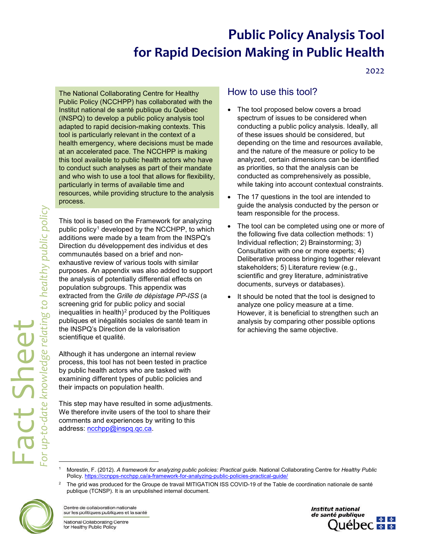## **Public Policy Analysis Tool for Rapid Decision Making in Public Health**

2022

The National Collaborating Centre for Healthy Public Policy (NCCHPP) has collaborated with the Institut national de santé publique du Québec (INSPQ) to develop a public policy analysis tool adapted to rapid decision-making contexts. This tool is particularly relevant in the context of a health emergency, where decisions must be made at an accelerated pace. The NCCHPP is making this tool available to public health actors who have to conduct such analyses as part of their mandate and who wish to use a tool that allows for flexibility, particularly in terms of available time and resources, while providing structure to the analysis process.

This tool is based on the Framework for analyzing public policy<sup>[1](#page-0-0)</sup> developed by the NCCHPP, to which additions were made by a team from the INSPQ's Direction du développement des individus et des communautés based on a brief and nonexhaustive review of various tools with similar purposes. An appendix was also added to support the analysis of potentially differential effects on population subgroups. This appendix was extracted from the *Grille de dépistage PP-ISS* (a screening grid for public policy and social inequalities in health) $2$  produced by the Politiques publiques et inégalités sociales de santé team in the INSPQ's Direction de la valorisation scientifique et qualité.

Although it has undergone an internal review process, this tool has not been tested in practice by public health actors who are tasked with examining different types of public policies and their impacts on population health.

This step may have resulted in some adjustments. We therefore invite users of the tool to share their comments and experiences by writing to this address: [ncchpp@inspq.qc.ca.](mailto:ncchpp@inspq.qc.ca)

### How to use this tool?

- The tool proposed below covers a broad spectrum of issues to be considered when conducting a public policy analysis. Ideally, all of these issues should be considered, but depending on the time and resources available, and the nature of the measure or policy to be analyzed, certain dimensions can be identified as priorities, so that the analysis can be conducted as comprehensively as possible, while taking into account contextual constraints.
- The 17 questions in the tool are intended to guide the analysis conducted by the person or team responsible for the process.
- The tool can be completed using one or more of the following five data collection methods: 1) Individual reflection; 2) Brainstorming; 3) Consultation with one or more experts; 4) Deliberative process bringing together relevant stakeholders; 5) Literature review (e.g., scientific and grey literature, administrative documents, surveys or databases).
- It should be noted that the tool is designed to analyze one policy measure at a time. However, it is beneficial to strengthen such an analysis by comparing other possible options for achieving the same objective.

<span id="page-0-1"></span><span id="page-0-0"></span><sup>2</sup> The grid was produced for the Groupe de travail MITIGATION ISS COVID-19 of the Table de coordination nationale de santé publique (TCNSP). It is an unpublished internal document.



-

Centre de collaboration nationale sur les politiques publiques et la santé

National Collaborating Centre for Healthy Public Policy



<sup>1</sup> Morestin, F. (2012). *A framework for analyzing public policies: Practical guide*. National Collaborating Centre for *Healthy Public* Policy[. https://ccnpps-ncchpp.ca/a-framework-for-analyzing-public-policies-practical-guide/](https://ccnpps-ncchpp.ca/a-framework-for-analyzing-public-policies-practical-guide/)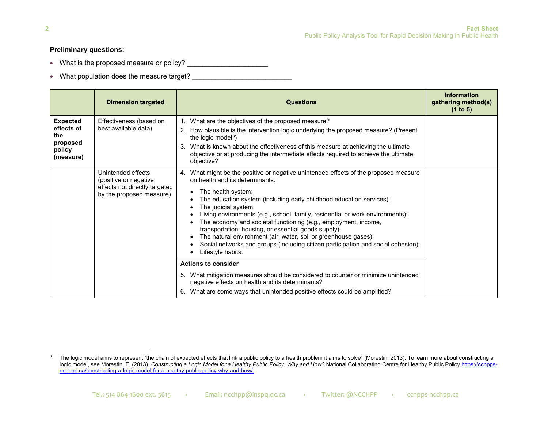### <span id="page-1-0"></span>**Preliminary questions:**

- What is the proposed measure or policy? \_\_\_\_\_\_\_\_\_\_\_\_\_\_\_\_\_\_\_\_\_
- What population does the measure target?

|                                                                         | <b>Dimension targeted</b>                                                                                | <b>Questions</b>                                                                                                                                                                                                                                                                                                                                                                                                                                                                                                                                                                                                                       | <b>Information</b><br>gathering method(s)<br>(1 to 5) |
|-------------------------------------------------------------------------|----------------------------------------------------------------------------------------------------------|----------------------------------------------------------------------------------------------------------------------------------------------------------------------------------------------------------------------------------------------------------------------------------------------------------------------------------------------------------------------------------------------------------------------------------------------------------------------------------------------------------------------------------------------------------------------------------------------------------------------------------------|-------------------------------------------------------|
| <b>Expected</b><br>effects of<br>the<br>proposed<br>policy<br>(measure) | Effectiveness (based on<br>best available data)                                                          | 1. What are the objectives of the proposed measure?<br>How plausible is the intervention logic underlying the proposed measure? (Present<br>2.<br>the logic model <sup>3</sup> )<br>What is known about the effectiveness of this measure at achieving the ultimate<br>3.<br>objective or at producing the intermediate effects required to achieve the ultimate<br>objective?                                                                                                                                                                                                                                                         |                                                       |
|                                                                         | Unintended effects<br>(positive or negative<br>effects not directly targeted<br>by the proposed measure) | 4. What might be the positive or negative unintended effects of the proposed measure<br>on health and its determinants:<br>The health system;<br>The education system (including early childhood education services);<br>The judicial system;<br>Living environments (e.g., school, family, residential or work environments);<br>The economy and societal functioning (e.g., employment, income,<br>transportation, housing, or essential goods supply);<br>The natural environment (air, water, soil or greenhouse gases);<br>Social networks and groups (including citizen participation and social cohesion);<br>∟ifestyle habits. |                                                       |
|                                                                         |                                                                                                          | <b>Actions to consider</b><br>5. What mitigation measures should be considered to counter or minimize unintended<br>negative effects on health and its determinants?<br>What are some ways that unintended positive effects could be amplified?<br>6.                                                                                                                                                                                                                                                                                                                                                                                  |                                                       |

<sup>3</sup> The logic model aims to represent "the chain of expected effects that link a public policy to a health problem it aims to solve" (Morestin, 2013). To learn more about constructing a logic model, see Morestin, F. (2013). Constructing a Logic Model for a Healthy Public Policy: Why and How? National Collaborating Centre for Healthy Public Policy.https://ccnppsncchpp.ca/constructing-a-logic-model-for-a-healthy-public-policy-why-and-how/.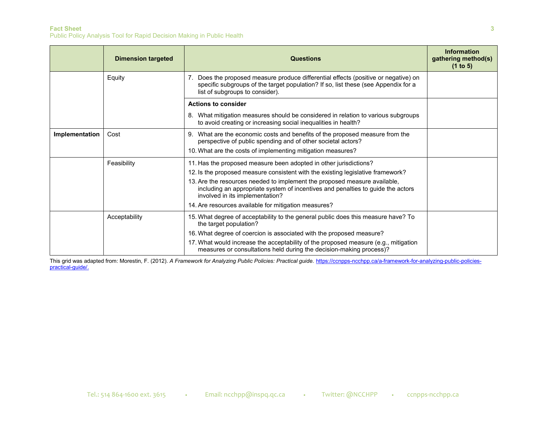### **Fact Sheet 3**

Public Policy Analysis Tool for Rapid Decision Making in Public Health

|                | <b>Dimension targeted</b> | <b>Questions</b>                                                                                                                                                                                                                                                                                                                                                                                                | Information<br>gathering method(s)<br>(1 to 5) |
|----------------|---------------------------|-----------------------------------------------------------------------------------------------------------------------------------------------------------------------------------------------------------------------------------------------------------------------------------------------------------------------------------------------------------------------------------------------------------------|------------------------------------------------|
|                | Equity                    | 7. Does the proposed measure produce differential effects (positive or negative) on<br>specific subgroups of the target population? If so, list these (see Appendix for a<br>list of subgroups to consider).                                                                                                                                                                                                    |                                                |
|                |                           | <b>Actions to consider</b>                                                                                                                                                                                                                                                                                                                                                                                      |                                                |
|                |                           | 8. What mitigation measures should be considered in relation to various subgroups<br>to avoid creating or increasing social inequalities in health?                                                                                                                                                                                                                                                             |                                                |
| Implementation | Cost                      | 9. What are the economic costs and benefits of the proposed measure from the<br>perspective of public spending and of other societal actors?<br>10. What are the costs of implementing mitigation measures?                                                                                                                                                                                                     |                                                |
|                | Feasibility               | 11. Has the proposed measure been adopted in other jurisdictions?<br>12. Is the proposed measure consistent with the existing legislative framework?<br>13. Are the resources needed to implement the proposed measure available,<br>including an appropriate system of incentives and penalties to guide the actors<br>involved in its implementation?<br>14. Are resources available for mitigation measures? |                                                |
|                | Acceptability             | 15. What degree of acceptability to the general public does this measure have? To<br>the target population?<br>16. What degree of coercion is associated with the proposed measure?<br>17. What would increase the acceptability of the proposed measure (e.g., mitigation<br>measures or consultations held during the decision-making process)?                                                               |                                                |

This grid was adapted from: Morestin, F. (2012). *A Framework for Analyzing Public Policies: Practical guide*. [https://ccnpps-ncchpp.ca/a-framework-for-analyzing-public-policies](https://ccnpps-ncchpp.ca/a-framework-for-analyzing-public-policies-practical-guide/)[practical-guide/.](https://ccnpps-ncchpp.ca/a-framework-for-analyzing-public-policies-practical-guide/)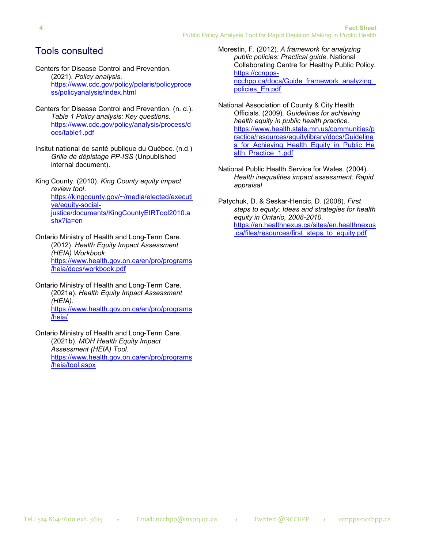## Tools consulted

- Centers for Disease Control and Prevention. (2021). *Policy analysis*. [https://www.cdc.gov/policy/polaris/policyproce](https://www.cdc.gov/policy/polaris/policyprocess/policyanalysis/index.html) [ss/policyanalysis/index.html](https://www.cdc.gov/policy/polaris/policyprocess/policyanalysis/index.html)
- Centers for Disease Control and Prevention. (n. d.). *Table 1 Policy analysis: Key questions*. [https://www.cdc.gov/policy/analysis/process/d](https://www.cdc.gov/policy/analysis/process/docs/table1.pdf) [ocs/table1.pdf](https://www.cdc.gov/policy/analysis/process/docs/table1.pdf)
- Insitut national de santé publique du Québec. (n.d.) *Grille de dépistage PP-ISS* (Unpublished internal document).
- King County. (2010). *King County equity impact review tool*. [https://kingcounty.gov/~/media/elected/executi](https://kingcounty.gov/%7E/media/elected/executive/equity-social-justice/documents/KingCountyEIRTool2010.ashx?la=en) [ve/equity-social](https://kingcounty.gov/%7E/media/elected/executive/equity-social-justice/documents/KingCountyEIRTool2010.ashx?la=en)[justice/documents/KingCountyEIRTool2010.a](https://kingcounty.gov/%7E/media/elected/executive/equity-social-justice/documents/KingCountyEIRTool2010.ashx?la=en) [shx?la=en](https://kingcounty.gov/%7E/media/elected/executive/equity-social-justice/documents/KingCountyEIRTool2010.ashx?la=en)

Ontario Ministry of Health and Long-Term Care. (2012). *Health Equity Impact Assessment (HEIA) Workbook*. [https://www.health.gov.on.ca/en/pro/programs](https://www.health.gov.on.ca/en/pro/programs/heia/docs/workbook.pdf) [/heia/docs/workbook.pdf](https://www.health.gov.on.ca/en/pro/programs/heia/docs/workbook.pdf)

Ontario Ministry of Health and Long-Term Care. (2021a). *Health Equity Impact Assessment (HEIA)*. [https://www.health.gov.on.ca/en/pro/programs](https://www.health.gov.on.ca/en/pro/programs/heia/) [/heia/](https://www.health.gov.on.ca/en/pro/programs/heia/)

Ontario Ministry of Health and Long-Term Care. (2021b). *MOH Health Equity Impact Assessment (HEIA) Tool*. [https://www.health.gov.on.ca/en/pro/programs](https://www.health.gov.on.ca/en/pro/programs/heia/tool.aspx) [/heia/tool.aspx](https://www.health.gov.on.ca/en/pro/programs/heia/tool.aspx)

Morestin, F. (2012). *A framework for analyzing public policies: Practical guide*. National Collaborating Centre for Healthy Public Policy. [https://ccnpps](https://ccnpps-ncchpp.ca/docs/Guide_framework_analyzing_policies_En.pdf)[ncchpp.ca/docs/Guide\\_framework\\_analyzing\\_](https://ccnpps-ncchpp.ca/docs/Guide_framework_analyzing_policies_En.pdf) [policies\\_En.pdf](https://ccnpps-ncchpp.ca/docs/Guide_framework_analyzing_policies_En.pdf)

- National Association of County & City Health Officials. (2009). *Guidelines for achieving health equity in public health practice*. [https://www.health.state.mn.us/communities/p](https://www.health.state.mn.us/communities/practice/resources/equitylibrary/docs/Guidelines_for_Achieving_Health_Equity_in_Public_Health_Practice_1.pdf) [ractice/resources/equitylibrary/docs/Guideline](https://www.health.state.mn.us/communities/practice/resources/equitylibrary/docs/Guidelines_for_Achieving_Health_Equity_in_Public_Health_Practice_1.pdf) s for Achieving Health Equity in Public He [alth\\_Practice\\_1.pdf](https://www.health.state.mn.us/communities/practice/resources/equitylibrary/docs/Guidelines_for_Achieving_Health_Equity_in_Public_Health_Practice_1.pdf)
- National Public Health Service for Wales. (2004). *Health inequalities impact assessment: Rapid appraisal*
- Patychuk, D. & Seskar-Hencic, D. (2008). *First steps to equity: Ideas and strategies for health equity in Ontario, 2008-2010*. [https://en.healthnexus.ca/sites/en.healthnexus](https://en.healthnexus.ca/sites/en.healthnexus.ca/files/resources/first_steps_to_equity.pdf) [.ca/files/resources/first\\_steps\\_to\\_equity.pdf](https://en.healthnexus.ca/sites/en.healthnexus.ca/files/resources/first_steps_to_equity.pdf)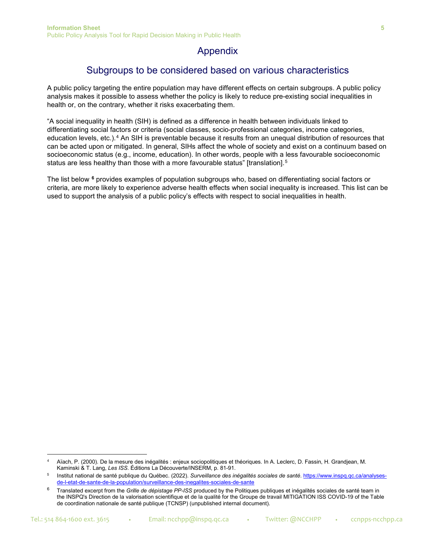## Appendix

## Subgroups to be considered based on various characteristics

A public policy targeting the entire population may have different effects on certain subgroups. A public policy analysis makes it possible to assess whether the policy is likely to reduce pre-existing social inequalities in health or, on the contrary, whether it risks exacerbating them.

"A social inequality in health (SIH) is defined as a difference in health between individuals linked to differentiating social factors or criteria (social classes, socio-professional categories, income categories, education levels, etc.).[4](#page-4-0) An SIH is preventable because it results from an unequal distribution of resources that can be acted upon or mitigated. In general, SIHs affect the whole of society and exist on a continuum based on socioeconomic status (e.g., income, education). In other words, people with a less favourable socioeconomic status are less healthy than those with a more favourable status" [translation].<sup>[5](#page-4-1)</sup>

The list below **[6](#page-4-2)** provides examples of population subgroups who, based on differentiating social factors or criteria, are more likely to experience adverse health effects when social inequality is increased. This list can be used to support the analysis of a public policy's effects with respect to social inequalities in health.

<span id="page-4-0"></span><sup>4</sup> Aïach, P. (2000). De la mesure des inégalités : enjeux sociopolitiques et théoriques. In A. Leclerc, D. Fassin, H. Grandjean, M. Kaminski & T. Lang, *Les ISS*. Éditions La Découverte/INSERM, p. 81-91.

<span id="page-4-1"></span><sup>5</sup> Institut national de santé publique du Québec. (2022). *Surveillance des inégalités sociales de santé*. [https://www.inspq.qc.ca/analyses](https://www.inspq.qc.ca/analyses-de-l-etat-de-sante-de-la-population/surveillance-des-inegalites-sociales-de-sante)[de-l-etat-de-sante-de-la-population/surveillance-des-inegalites-sociales-de-sante](https://www.inspq.qc.ca/analyses-de-l-etat-de-sante-de-la-population/surveillance-des-inegalites-sociales-de-sante)

<span id="page-4-2"></span><sup>6</sup> Translated excerpt from the *Grille de dépistage PP-ISS* produced by the Politiques publiques et inégalités sociales de santé team in the INSPQ's Direction de la valorisation scientifique et de la qualité for the Groupe de travail MITIGATION ISS COVID-19 of the Table de coordination nationale de santé publique (TCNSP) (unpublished internal document).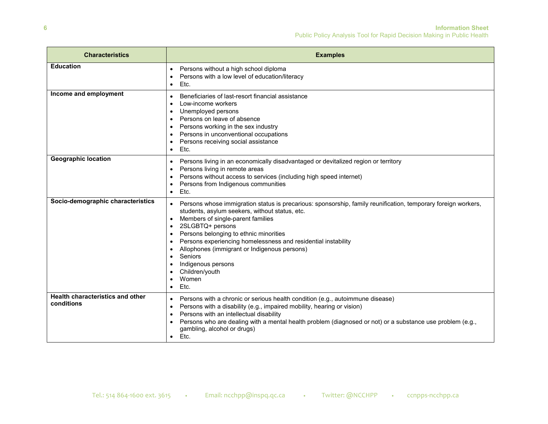| <b>Characteristics</b>                         | <b>Examples</b>                                                                                                                                                                                                                                                                                                                                                                                                                                                                                             |  |
|------------------------------------------------|-------------------------------------------------------------------------------------------------------------------------------------------------------------------------------------------------------------------------------------------------------------------------------------------------------------------------------------------------------------------------------------------------------------------------------------------------------------------------------------------------------------|--|
| <b>Education</b>                               | Persons without a high school diploma<br>$\bullet$<br>Persons with a low level of education/literacy<br>$\bullet$<br>Etc.<br>$\bullet$                                                                                                                                                                                                                                                                                                                                                                      |  |
| Income and employment                          | Beneficiaries of last-resort financial assistance<br>٠<br>Low-income workers<br>$\bullet$<br>Unemployed persons<br>$\bullet$<br>Persons on leave of absence<br>Persons working in the sex industry<br>Persons in unconventional occupations<br>$\bullet$<br>Persons receiving social assistance<br>Etc.                                                                                                                                                                                                     |  |
| <b>Geographic location</b>                     | Persons living in an economically disadvantaged or devitalized region or territory<br>٠<br>Persons living in remote areas<br>Persons without access to services (including high speed internet)<br>Persons from Indigenous communities<br>Etc.<br>$\bullet$                                                                                                                                                                                                                                                 |  |
| Socio-demographic characteristics              | Persons whose immigration status is precarious: sponsorship, family reunification, temporary foreign workers,<br>students, asylum seekers, without status, etc.<br>Members of single-parent families<br>$\bullet$<br>2SLGBTQ+ persons<br>$\bullet$<br>Persons belonging to ethnic minorities<br>Persons experiencing homelessness and residential instability<br>$\bullet$<br>Allophones (immigrant or Indigenous persons)<br>$\bullet$<br>Seniors<br>Indigenous persons<br>Children/youth<br>Women<br>Ftc. |  |
| Health characteristics and other<br>conditions | Persons with a chronic or serious health condition (e.g., autoimmune disease)<br>٠<br>Persons with a disability (e.g., impaired mobility, hearing or vision)<br>$\bullet$<br>Persons with an intellectual disability<br>$\bullet$<br>Persons who are dealing with a mental health problem (diagnosed or not) or a substance use problem (e.g.,<br>gambling, alcohol or drugs)<br>Etc.<br>$\bullet$                                                                                                          |  |